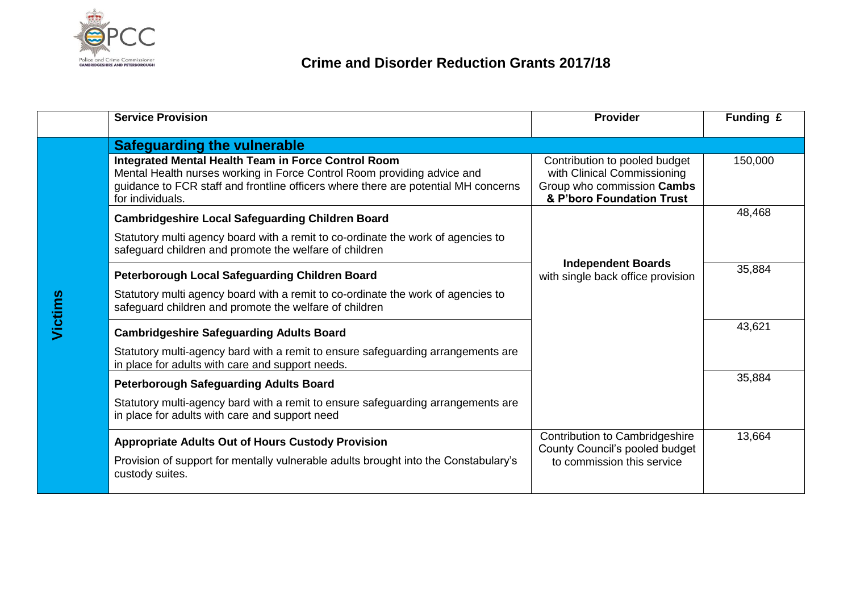

|                | <b>Service Provision</b>                                                                                                                                                                                                                 | <b>Provider</b>                                                                                                         | Funding £ |
|----------------|------------------------------------------------------------------------------------------------------------------------------------------------------------------------------------------------------------------------------------------|-------------------------------------------------------------------------------------------------------------------------|-----------|
| <b>Jictims</b> | <b>Safeguarding the vulnerable</b>                                                                                                                                                                                                       |                                                                                                                         |           |
|                | Integrated Mental Health Team in Force Control Room<br>Mental Health nurses working in Force Control Room providing advice and<br>guidance to FCR staff and frontline officers where there are potential MH concerns<br>for individuals. | Contribution to pooled budget<br>with Clinical Commissioning<br>Group who commission Cambs<br>& P'boro Foundation Trust | 150,000   |
|                | <b>Cambridgeshire Local Safeguarding Children Board</b>                                                                                                                                                                                  |                                                                                                                         | 48,468    |
|                | Statutory multi agency board with a remit to co-ordinate the work of agencies to<br>safeguard children and promote the welfare of children                                                                                               |                                                                                                                         |           |
|                | Peterborough Local Safeguarding Children Board                                                                                                                                                                                           | <b>Independent Boards</b><br>with single back office provision                                                          | 35,884    |
|                | Statutory multi agency board with a remit to co-ordinate the work of agencies to<br>safeguard children and promote the welfare of children                                                                                               |                                                                                                                         |           |
|                | <b>Cambridgeshire Safeguarding Adults Board</b>                                                                                                                                                                                          |                                                                                                                         | 43,621    |
|                | Statutory multi-agency bard with a remit to ensure safeguarding arrangements are<br>in place for adults with care and support needs.                                                                                                     |                                                                                                                         |           |
|                | <b>Peterborough Safeguarding Adults Board</b>                                                                                                                                                                                            |                                                                                                                         | 35,884    |
|                | Statutory multi-agency bard with a remit to ensure safeguarding arrangements are<br>in place for adults with care and support need                                                                                                       |                                                                                                                         |           |
|                | <b>Appropriate Adults Out of Hours Custody Provision</b>                                                                                                                                                                                 | Contribution to Cambridgeshire<br>County Council's pooled budget                                                        | 13,664    |
|                | Provision of support for mentally vulnerable adults brought into the Constabulary's<br>custody suites.                                                                                                                                   | to commission this service                                                                                              |           |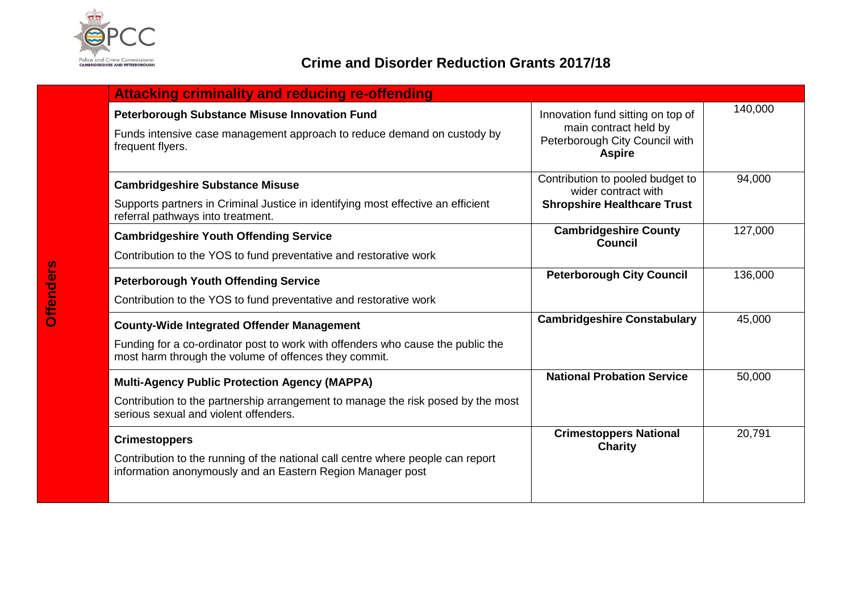

## **Crime and Disorder Reduction Grants 2017/18**

| <b>Attacking criminality and reducing re-offending</b>                                                                                                                                        |                                                                                                               |         |  |  |
|-----------------------------------------------------------------------------------------------------------------------------------------------------------------------------------------------|---------------------------------------------------------------------------------------------------------------|---------|--|--|
| <b>Peterborough Substance Misuse Innovation Fund</b><br>Funds intensive case management approach to reduce demand on custody by<br>frequent flyers.                                           | Innovation fund sitting on top of<br>main contract held by<br>Peterborough City Council with<br><b>Aspire</b> | 140,000 |  |  |
| <b>Cambridgeshire Substance Misuse</b><br>Supports partners in Criminal Justice in identifying most effective an efficient<br>referral pathways into treatment.                               | Contribution to pooled budget to<br>wider contract with<br><b>Shropshire Healthcare Trust</b>                 | 94,000  |  |  |
| <b>Cambridgeshire Youth Offending Service</b><br>Contribution to the YOS to fund preventative and restorative work                                                                            | <b>Cambridgeshire County</b><br><b>Council</b>                                                                | 127,000 |  |  |
| <b>Peterborough Youth Offending Service</b><br>Contribution to the YOS to fund preventative and restorative work                                                                              | <b>Peterborough City Council</b>                                                                              | 136,000 |  |  |
| <b>County-Wide Integrated Offender Management</b><br>Funding for a co-ordinator post to work with offenders who cause the public the<br>most harm through the volume of offences they commit. | <b>Cambridgeshire Constabulary</b>                                                                            | 45,000  |  |  |
| <b>Multi-Agency Public Protection Agency (MAPPA)</b><br>Contribution to the partnership arrangement to manage the risk posed by the most<br>serious sexual and violent offenders.             | <b>National Probation Service</b>                                                                             | 50,000  |  |  |
| <b>Crimestoppers</b><br>Contribution to the running of the national call centre where people can report<br>information anonymously and an Eastern Region Manager post                         | <b>Crimestoppers National</b><br><b>Charity</b>                                                               | 20,791  |  |  |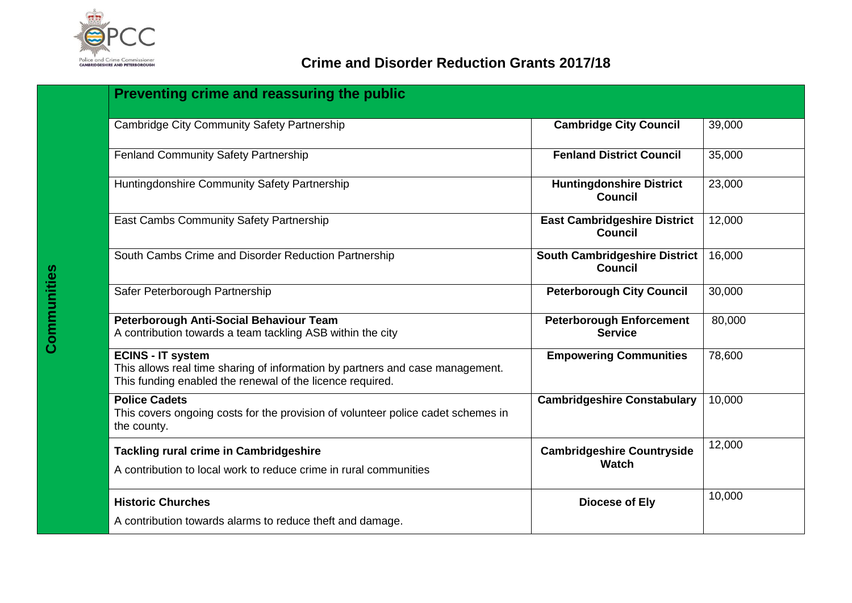

## **Crime and Disorder Reduction Grants 2017/18**

| Preventing crime and reassuring the public                                                                                                                             |                                                        |        |  |  |
|------------------------------------------------------------------------------------------------------------------------------------------------------------------------|--------------------------------------------------------|--------|--|--|
| <b>Cambridge City Community Safety Partnership</b>                                                                                                                     | <b>Cambridge City Council</b>                          | 39,000 |  |  |
| <b>Fenland Community Safety Partnership</b>                                                                                                                            | <b>Fenland District Council</b>                        | 35,000 |  |  |
| Huntingdonshire Community Safety Partnership                                                                                                                           | <b>Huntingdonshire District</b><br><b>Council</b>      | 23,000 |  |  |
| East Cambs Community Safety Partnership                                                                                                                                | <b>East Cambridgeshire District</b><br><b>Council</b>  | 12,000 |  |  |
| South Cambs Crime and Disorder Reduction Partnership                                                                                                                   | <b>South Cambridgeshire District</b><br><b>Council</b> | 16,000 |  |  |
| Safer Peterborough Partnership                                                                                                                                         | <b>Peterborough City Council</b>                       | 30,000 |  |  |
| Peterborough Anti-Social Behaviour Team<br>A contribution towards a team tackling ASB within the city                                                                  | <b>Peterborough Enforcement</b><br><b>Service</b>      | 80,000 |  |  |
| <b>ECINS - IT system</b><br>This allows real time sharing of information by partners and case management.<br>This funding enabled the renewal of the licence required. | <b>Empowering Communities</b>                          | 78,600 |  |  |
| <b>Police Cadets</b><br>This covers ongoing costs for the provision of volunteer police cadet schemes in<br>the county.                                                | <b>Cambridgeshire Constabulary</b>                     | 10,000 |  |  |
| <b>Tackling rural crime in Cambridgeshire</b><br>A contribution to local work to reduce crime in rural communities                                                     | <b>Cambridgeshire Countryside</b><br>Watch             | 12,000 |  |  |
| <b>Historic Churches</b>                                                                                                                                               | <b>Diocese of Ely</b>                                  | 10,000 |  |  |
| A contribution towards alarms to reduce theft and damage.                                                                                                              |                                                        |        |  |  |